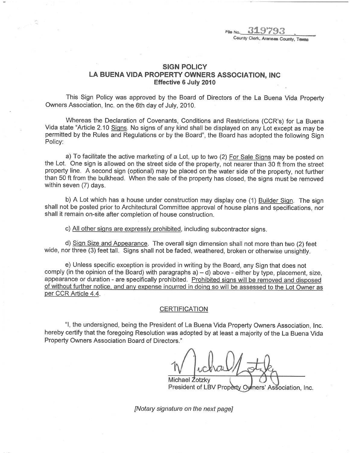FRO NO. 31979 County Clerk, Aranses County, Texas

## SIGN POLICY LA BUENA VIDA PROPERTY OWNERS ASSOCIATION, INC Effective 6 July 2010

This Sign Policy was approved by the Board of Directors of the La Buena Vida Property Owners Association, Inc. on the 6th day of July, 2010.

Whereas the Declaration of Covenants, Conditions and Restrictions (CCR's) for La Buena Vida state "Article 2.10 Siqns. No signs of any kind shall be displayed on any Lot except as may be permitted by the Rules and Regulations or by the Board", the Board has adopted the following Sign Policy:

a) To facilitate the active marketing of a Lot, up to two (2) For Sale Siqns may be posted on the Lot. One sign is allowed on the street side of the property, not nearer than 30 ft from the street property line. A second sign (optional) may be placed on the water side of the property, not further than 50 ft from the bulkhead. When the sale of the property has closed, the signs must be removed within seven (7) days.

b) A Lot which has a house under construction may display one (1) Builder Sign. The sign shall not be posted prior to Architectural Committee approval of house plans and specifications, nor shall it remain on-site after completion of house construction.

c) All other signs are expressly prohibited, including subcontractor signs.

d) Siqn Size and Appearance. The overall sign dimension shall not more than two (2) feet wide, nor three (3) feet tall. Signs shall not be faded, weathered, broken or otherwise unsightly.

e) Unless specific exception is provided in writing by the Board, any Sign that does not comply (in the opinion of the Board) with paragraphs  $a$ )  $-d$ ) above - either by type, placement, size, appearance or duration - are specifically prohibited. Prohibited signs will be removed and disposed of without further notice, and anv expense incurred in doinq so will be assessed to the Lot Owner as per CCR Article 4.4.

## CERTIFICATION

"1, the undersigned, being the President of La Buena Vida Property Owners Association, Inc. hereby certify that the foregoing Resolution was adopted by at least a majority of the La Buena Vida Property Owners Association Board of Directors."

Michael Zotzky

President of LBV Property Owners' Association, Inc.

[Notary signature on the next page]